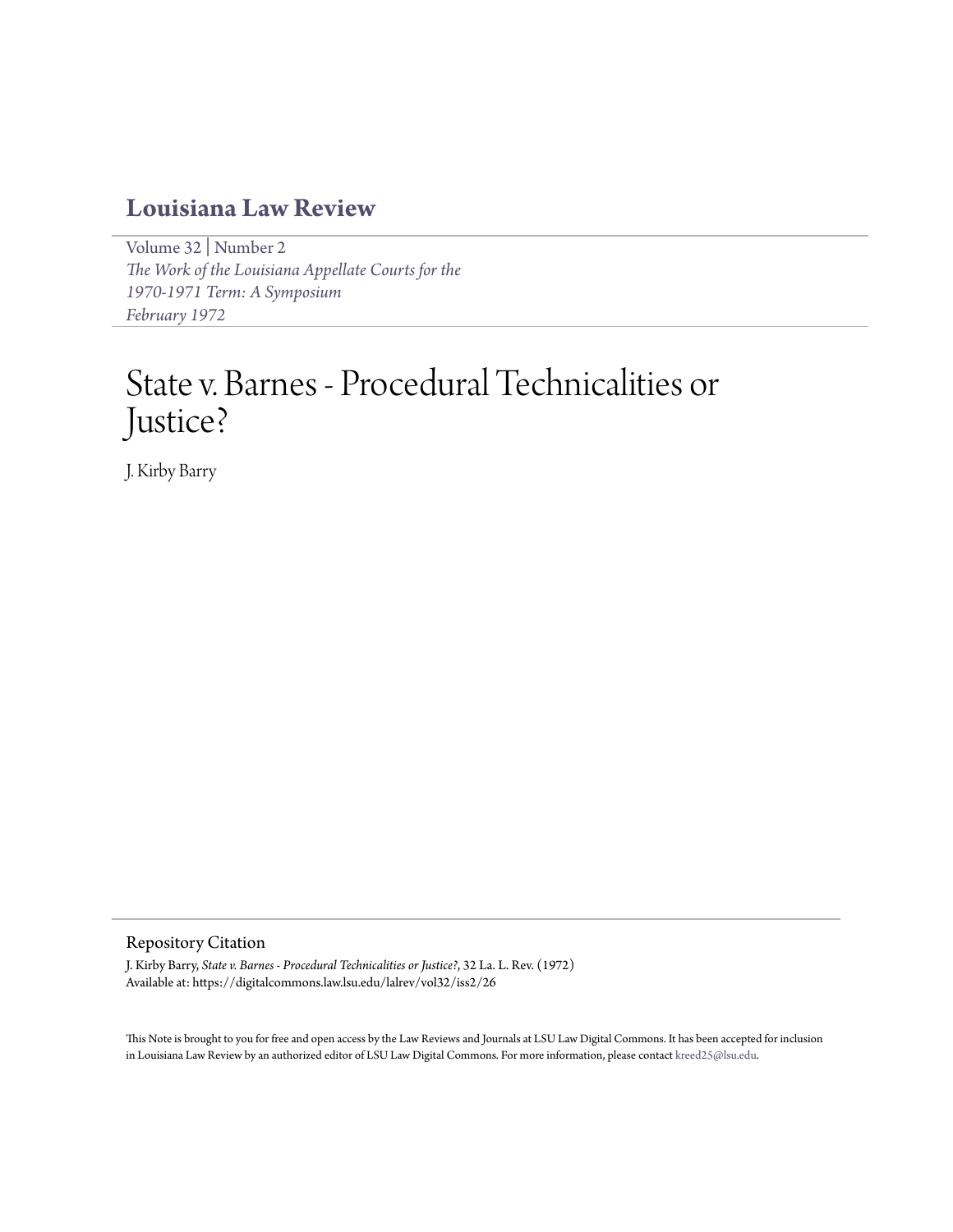## **[Louisiana Law Review](https://digitalcommons.law.lsu.edu/lalrev)**

[Volume 32](https://digitalcommons.law.lsu.edu/lalrev/vol32) | [Number 2](https://digitalcommons.law.lsu.edu/lalrev/vol32/iss2) *[The Work of the Louisiana Appellate Courts for the](https://digitalcommons.law.lsu.edu/lalrev/vol32/iss2) [1970-1971 Term: A Symposium](https://digitalcommons.law.lsu.edu/lalrev/vol32/iss2) [February 1972](https://digitalcommons.law.lsu.edu/lalrev/vol32/iss2)*

# State v. Barnes - Procedural Technicalities or Justice?

J. Kirby Barry

#### Repository Citation

J. Kirby Barry, *State v. Barnes - Procedural Technicalities or Justice?*, 32 La. L. Rev. (1972) Available at: https://digitalcommons.law.lsu.edu/lalrev/vol32/iss2/26

This Note is brought to you for free and open access by the Law Reviews and Journals at LSU Law Digital Commons. It has been accepted for inclusion in Louisiana Law Review by an authorized editor of LSU Law Digital Commons. For more information, please contact [kreed25@lsu.edu](mailto:kreed25@lsu.edu).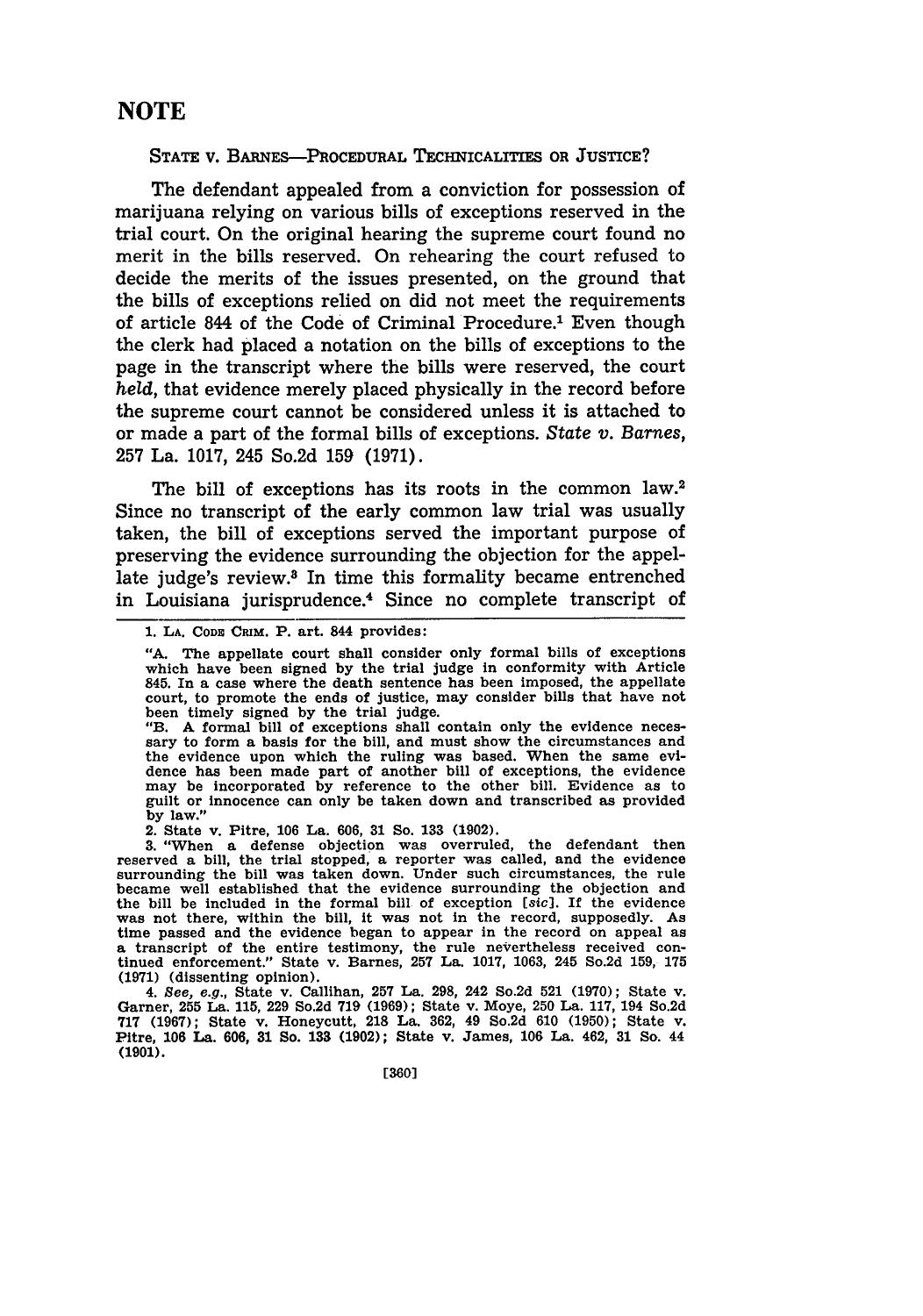### **NOTE**

#### **STATE** V. **BARNES-PROCEDURAL** TECHNICALITIES OR **JUSTICE?**

The defendant appealed from a conviction for possession of marijuana relying on various bills of exceptions reserved in the trial court. On the original hearing the supreme court found no merit in the bills reserved. On rehearing the court refused to decide the merits of the issues presented, on the ground that the bills of exceptions relied on did not meet the requirements of article 844 of the Code of Criminal Procedure.1 Even though the clerk had placed a notation on the bills of exceptions to the page in the transcript where the bills were reserved, the court *held,* that evidence merely placed physically in the record before the supreme court cannot be considered unless it is attached to or made a part of the formal bills of exceptions. *State v. Barnes,* 257 La. 1017, 245 So.2d 159 (1971).

The bill of exceptions has its roots in the common law.<sup>2</sup> Since no transcript of the early common law trial was usually taken, the bill of exceptions served the important purpose of preserving the evidence surrounding the objection for the appellate judge's review.<sup>3</sup> In time this formality became entrenched in Louisiana jurisprudence.<sup>4</sup> Since no complete transcript of

"B. A formal bill of exceptions shall contain only the evidence neces- sary to form a basis for the bill, and must show the circumstances and the evidence upon which the ruling was based. When the same evi-dence has been made part of another bill of exceptions, the evidence may be incorporated **by** reference to the other bill. Evidence as to guilt or innocence can only be taken down and transcribed as provided **by** law."

2. State v. Pitre, **106** La. **606, 31** So. **133 (1902).**

**3.** "When a defense objection was overruled, the defendant then reserved a bill, the trial stopped, a reporter was called, and the evidence surrounding the bill was taken down. Under such circumstances, the rule became well established that the evidence surrounding the objection and the bill be included in the formal bill of exception [sic]. If the evidence was not there, within the bill, it was not in the record, supposedly. As time passed and the evidence began to appear in the record on appeal as a transcript of the entire testimony, the rule nevertheless received con- tinued enforcement." State v. Barnes, **257** La. **1017, 1063,** 245 So.2d **159, 175 (1971)** (dissenting opinion).

4. *See, e.g.,* State v. Callihan, **257** La. **298,** 242 So.2d **521 (1970);** State v. Garner, **255** La. 115, 229 So.2d 719 (1969); State v. Moye, 250 La. 117, 194 So.2d **717 (1967);** State v. Honeycutt, 218 La. 362, 49 So.2d **610** (1950); State v. Pitre, 106 La. **606, 31** So. **133 (1902);** State v. James, 106 La. 462, **31** So. 44 **(1901).**

**<sup>1.</sup> LA.** Cons **CRIM.** P. art. 844 provides:

**<sup>&</sup>quot;A.** The appellate court shall consider only formal bills of exceptions which have been signed by the trial judge in conformity with Article 845. In a case where the death sentence has been imposed, the appellate court, to promote the ends of justice, may consider bills that have not been timely signed **by** the trial judge.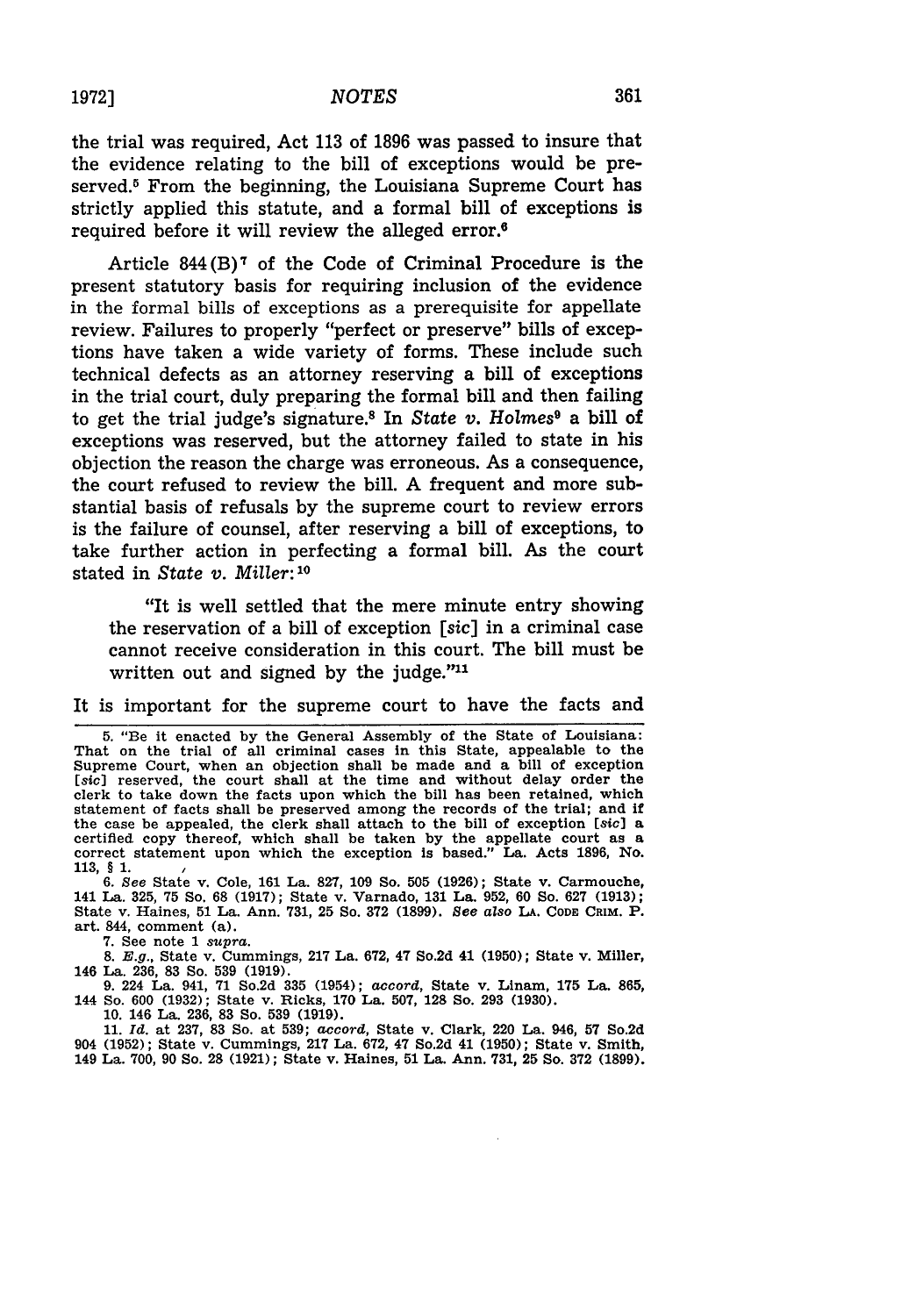the trial was required, Act **113** of 1896 was passed to insure that the evidence relating to the bill of exceptions would be preserved.<sup>5</sup> From the beginning, the Louisiana Supreme Court has strictly applied this statute, and a formal bill of exceptions is required before it will review the alleged error.6

Article  $844(B)^7$  of the Code of Criminal Procedure is the present statutory basis for requiring inclusion of the evidence in the formal bills of exceptions as a prerequisite for appellate review. Failures to properly "perfect or preserve" bills of exceptions have taken a wide variety of forms. These include such technical defects as an attorney reserving a bill of exceptions in the trial court, duly preparing the formal bill and then failing to get the trial judge's signature. 8 In *State v. Holmes9* a bill of exceptions was reserved, but the attorney failed to state in his objection the reason the charge was erroneous. As a consequence, the court refused to review the bill. A frequent and more substantial basis of refusals by the supreme court to review errors is the failure of counsel, after reserving a bill of exceptions, to take further action in perfecting a formal bill. As the court stated in *State v. Miller: ' 0*

"It is well settled that the mere minute entry showing the reservation of a bill of exception *[sic]* in a criminal case cannot receive consideration in this court. The bill must be written out and signed by the judge."<sup>11</sup>

It is important for the supreme court to have the facts and

5. "Be it enacted by the General Assembly of the State of Louisiana: That on the trial of all criminal cases in this State, appealable to the Supreme Court, when an objection shall be made and a bill of exception [sic] reserved, the court shall at the time and without delay order the clerk to take down the facts upon which the bill has been retained, which statement of facts shall be preserved among the records of the trial; and if the case be appealed, the clerk shall attach to the bill of exception [sic) a certified copy thereof, which shall be taken by the appellate court as a correct statement upon which the exception Is based." La. Acts 1896, No. 113, § **1.**

6. See State v. Cole, **161** La. 827, 109 So. **505** (1926); State v. Carmouche, 141 La. 325, 75 So. 68 (1917); State v. Varnado, 131 La. 952, **60** So. 627 (1913); State v. Haines, **51** La. Ann. 731, 25 So. 372 (1899). *See aZso LA.* CODE **CRIM.** P. art. 844, comment (a).

7. See note 1 *supra.*

8. E.g., State v. Cummings, 217 La. 672, 47 So.2d 41 **(1950);** State v. Miller, 146 La. 236, 83 So. 539 (1919).

9. 224 La. 941, 71 So.2d **335** (1954); *accord,* State v. Linam, 175 La. **865,** 144 So. 600 (1932); State v. Ricks, 170 La. 507, **128** So. **293** (1930).

10. 146 La. 236, 83 So. **539** (1919).

**11.** *Id.* at 237, 83 So. at 539; *accord,* State v. Clark, 220 La. 946, **57** So.2d 904 (1952); State v. Cummings, **217** La. 672, 47 So.2d 41 (1950); State v. Smith, 149 La. 700, 90 So. **28** (1921); State v. Haines, **51** La. Ann. 731, 25 So. **372** (1899).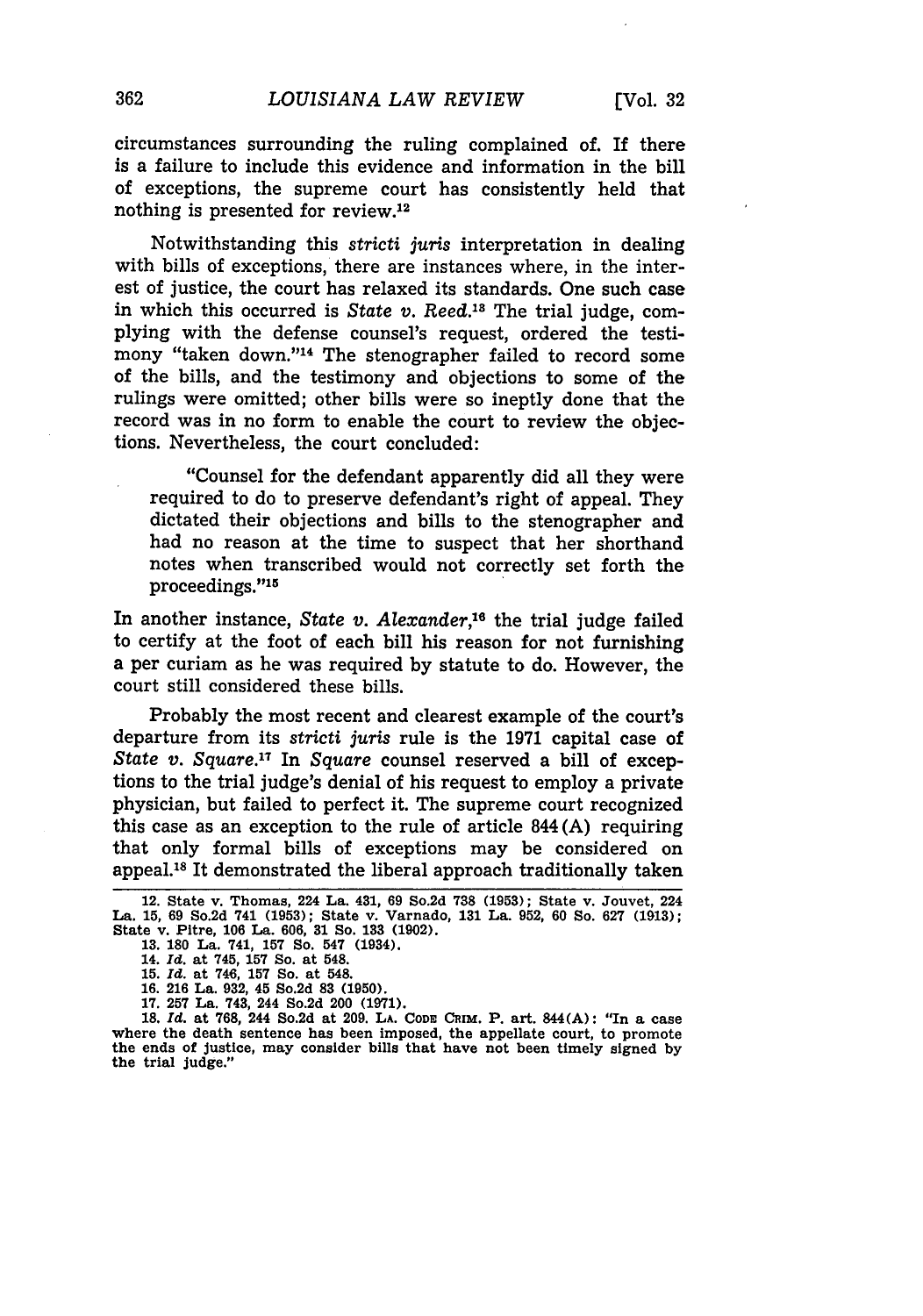circumstances surrounding the ruling complained of. If there is a failure to include this evidence and information in the bill of exceptions, the supreme court has consistently held that nothing is presented for review.<sup>12</sup>

Notwithstanding this *stricti juris* interpretation in dealing with bills of exceptions, there are instances where, in the interest of justice, the court has relaxed its standards. One such case in which this occurred is *State v. Reed.*<sup>18</sup> The trial judge, complying with the defense counsel's request, ordered the testimony "taken down."<sup>14</sup> The stenographer failed to record some of the bills, and the testimony and objections to some of the rulings were omitted; other bills were so ineptly done that the record was in no form to enable the court to review the objections. Nevertheless, the court concluded:

"Counsel for the defendant apparently did all they were required to do to preserve defendant's right of appeal. They dictated their objections and bills to the stenographer and had no reason at the time to suspect that her shorthand notes when transcribed would not correctly set forth the proceedings."<sup>15</sup>

In another instance, *State v. Alexander,"6* the trial judge failed to certify at the foot of each bill his reason for not furnishing a per curiam as he was required by statute to do. However, the court still considered these bills.

Probably the most recent and clearest example of the court's departure from its *stricti juris* rule is the 1971 capital case of *State v. Square."* In *Square* counsel reserved a bill of exceptions to the trial judge's denial of his request to employ a private physician, but failed to perfect it. The supreme court recognized this case as an exception to the rule of article 844 (A) requiring that only formal bills of exceptions may be considered on appeal. 8 It demonstrated the liberal approach traditionally taken

**17. 257** La. 743, 244 So.2d 200 **(1971).** where the death sentence has been imposed, the appellate court, to promote<br>the ends of justice, may consider bills that have not been timely signed by the trial judge."

<sup>12.</sup> State v. Thomas, 224 La. 431, 69 So.2d **738 (1953);** State v. Jouvet, 224 La. **15,** 69 So.2d 741 (1953); State v. Varnado, 131 La. 952, 60 So. **627** (1913); State v. Pitre, **106** La. **606, 31** So. **133 (1902).**

**<sup>13. 180</sup>** La. 741, **157** So. 547 (1934).

<sup>14.</sup> *Id.* at 745, **157** So. at 548. **15.** *Id.* at 746, **157** So. at 548.

**<sup>16. 216</sup>** La. **932,** 45 So.2d **83 (1950).**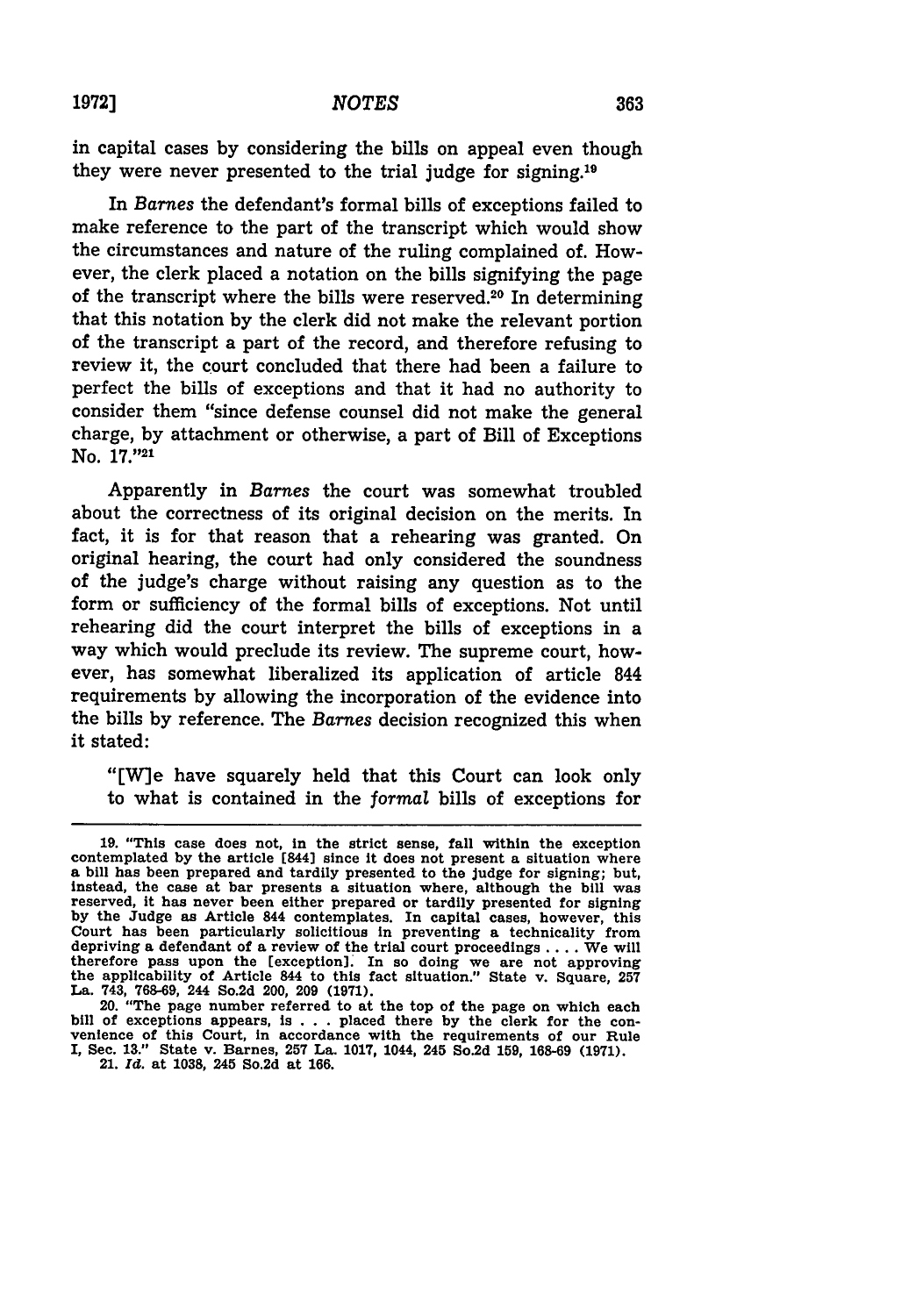in capital cases **by** considering the bills on appeal even though they were never presented to the trial judge for signing.19

In *Barnes* the defendant's formal bills of exceptions failed to make reference to the part of the transcript which would show the circumstances and nature of the ruling complained of. However, the clerk placed a notation on the bills signifying the page of the transcript where the bills were reserved.<sup>20</sup> In determining that this notation **by** the clerk did not make the relevant portion of the transcript a part of the record, and therefore refusing to review it, the court concluded that there had been a failure to perfect the bills of exceptions and that it had no authority to consider them "since defense counsel did not make the general charge, **by** attachment or otherwise, a part of Bill of Exceptions No. **17."21**

Apparently in Barnes the court was somewhat troubled about the correctness of its original decision on the merits. In fact, it is for that reason that a rehearing was granted. On original hearing, the court had only considered the soundness of the judge's charge without raising any question as to the form or sufficiency of the formal bills of exceptions. Not until rehearing did the court interpret the bills of exceptions in a way which would preclude its review. The supreme court, however, has somewhat liberalized its application of article 844 requirements **by** allowing the incorporation of the evidence into the bills **by** reference. The *Barnes* decision recognized this when it stated:

"[W]e have squarely held that this Court can look only to what is contained in the formal bills of exceptions for

21. *Id.* at **1038,** 245 So.2d at **166.**

<sup>19. &</sup>quot;This case does not, in the strict sense, fall within the exception contemplated by the article [844] since it does not present a situation where a bill has been prepared and tardily presented to the judge for signing; instead, the case at bar presents a situation where, although the **bill** was reserved, it has never been either prepared or tardily presented for signing **by** the Judge as Article 844 contemplates. In capital cases, however, this Court has been particularly solicitious in preventing a technicality from depriving a defendant of a review of the trial court proceedings .... We will therefore pass upon the [exception]. In so doing we are not approving the applicability of Article 844 to this fact situation." State v. Square, **<sup>257</sup>** La. 743, **768-69,** 244 So.2d 200, **209 (1971).**

<sup>20. &</sup>quot;The page number referred to at the top of the page on which each bill of exceptions appears, is **. . .** placed there **by** the clerk for the con- venience of this Court, in accordance with the requirements of our Rule I, Sec. **13."** State v. Barnes, **257** La. **1017,** 1044, 245 So.2d **159, 168-69 (1971).**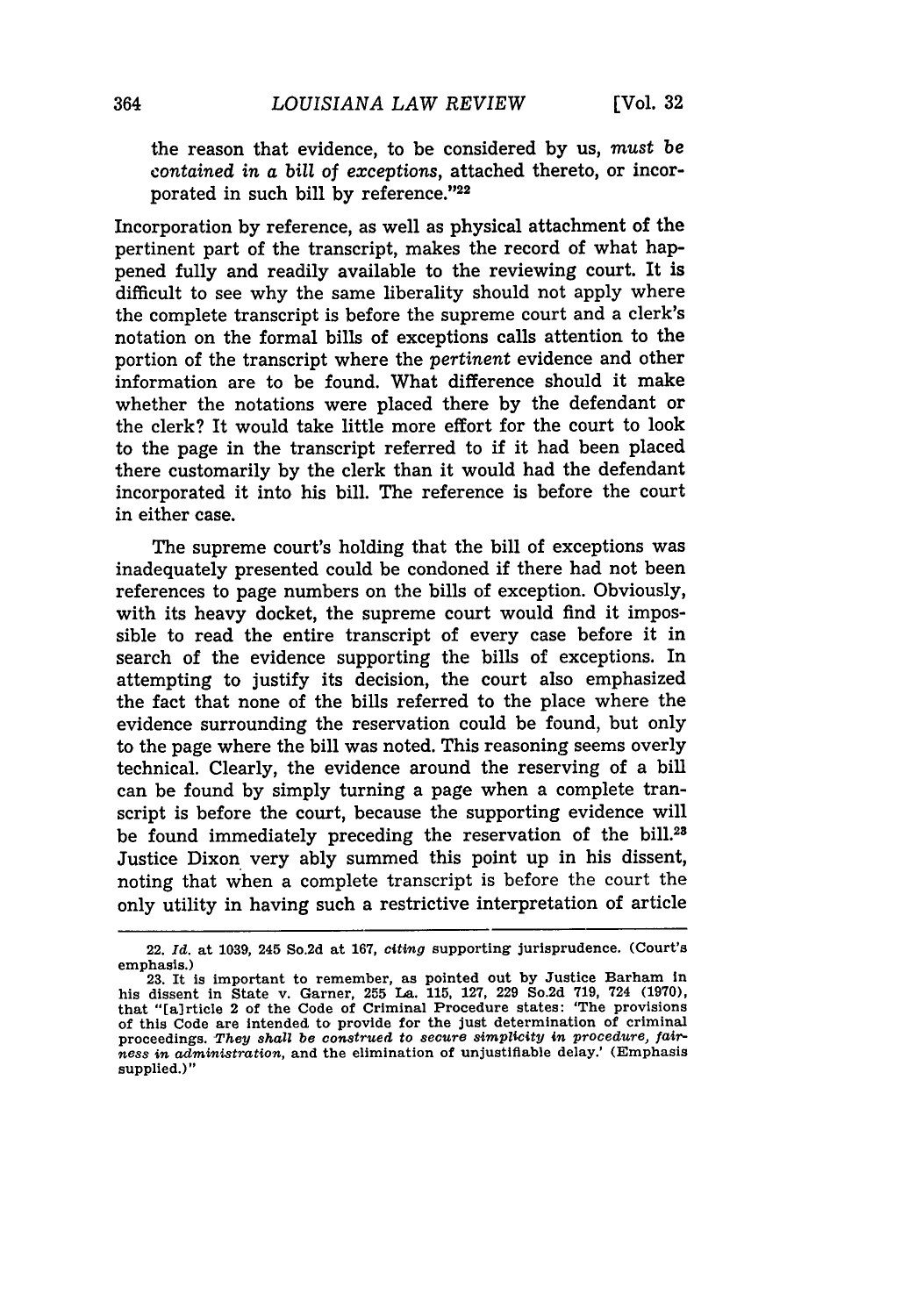the reason that evidence, to be considered **by** us, *must be contained in a bill of exceptions,* attached thereto, or incorporated in such bill by reference." $22$ 

Incorporation by reference, as well as physical attachment of the pertinent part of the transcript, makes the record of what happened fully and readily available to the reviewing court. It is difficult to see why the same liberality should not apply where the complete transcript is before the supreme court and a clerk's notation on the formal bills of exceptions calls attention to the portion of the transcript where the *pertinent* evidence and other information are to be found. What difference should it make whether the notations were placed there by the defendant or the clerk? It would take little more effort for the court to look to the page in the transcript referred to if it had been placed there customarily by the clerk than it would had the defendant incorporated it into his bill. The reference is before the court in either case.

The supreme court's holding that the bill of exceptions was inadequately presented could be condoned if there had not been references to page numbers on the bills of exception. Obviously, with its heavy docket, the supreme court would find it impossible to read the entire transcript of every case before it in search of the evidence supporting the bills of exceptions. In attempting to justify its decision, the court also emphasized the fact that none of the bills referred to the place where the evidence surrounding the reservation could be found, but only to the page where the bill was noted. This reasoning seems overly technical. Clearly, the evidence around the reserving of a bill can be found by simply turning a page when a complete transcript is before the court, because the supporting evidence will be found immediately preceding the reservation of the bill.<sup>23</sup> Justice Dixon very ably summed this point up in his dissent, noting that when a complete transcript is before the court the only utility in having such a restrictive interpretation of article

<sup>22.</sup> *Id.* at **1039,** 245 So.2d at **167,** citing supporting jurisprudence. (Court's emphasis.)

<sup>23.</sup> It is important to remember, as pointed out by Justice Barham in his dissent in State v. Garner, **255** La. 115, 127, 229 So.2d 719, 724 (1970), that "[alrticle 2 of the Code of Criminal Procedure states: 'The provisions of this Code are intended to provide for the just determination of criminal proceedings. *They shall be construed* to *secure simplicity in procedure, fairness in administration,* and the elimination of unjustifiable delay.' (Emphasis supplied.)"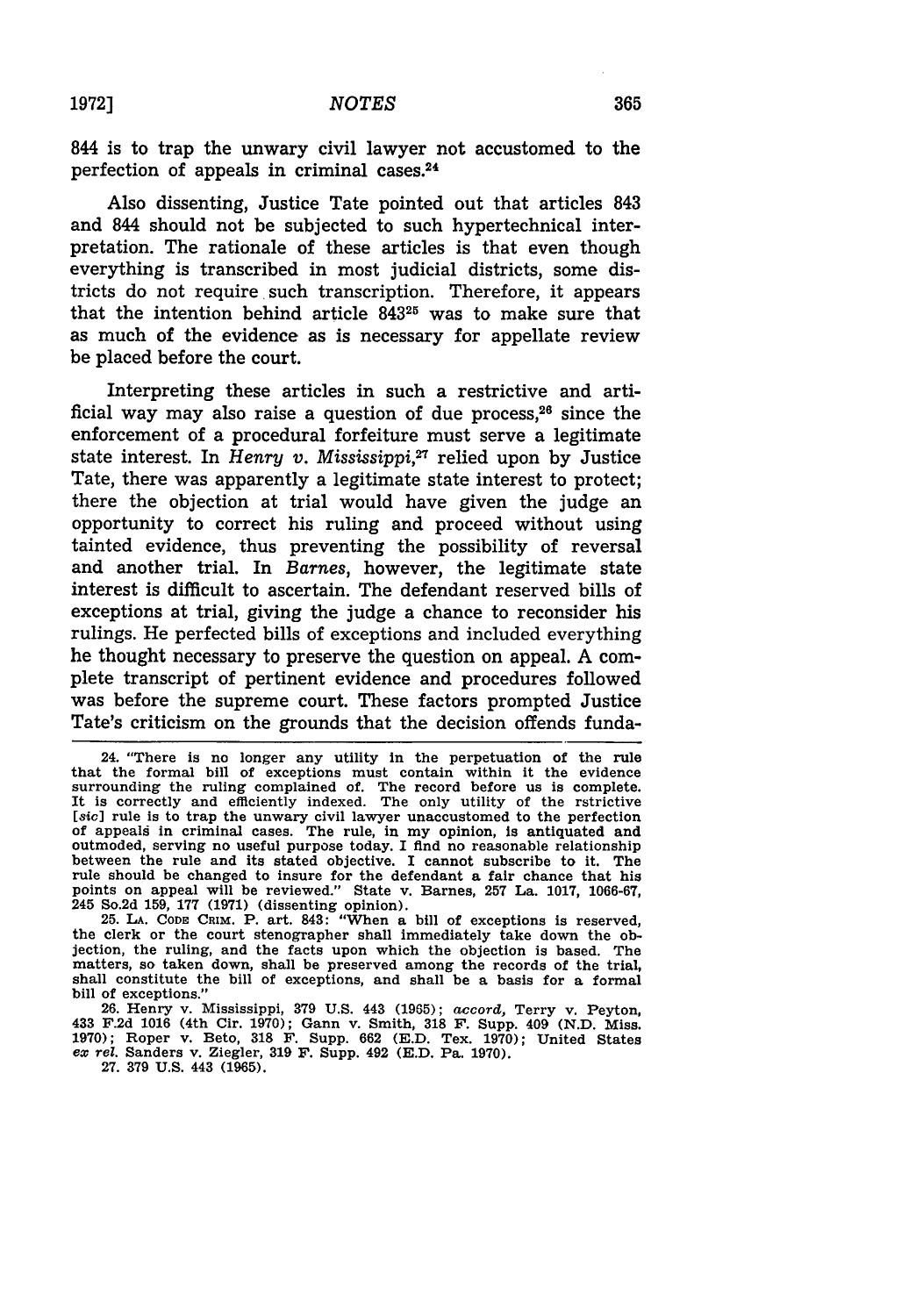**1972]**

844 is to trap the unwary civil lawyer not accustomed to the perfection of appeals in criminal cases.<sup>24</sup>

Also dissenting, Justice Tate pointed out that articles 843 and 844 should not be subjected to such hypertechnical interpretation. The rationale of these articles is that even though everything is transcribed in most judicial districts, some districts do not require such transcription. Therefore, it appears that the intention behind article **84325** was to make sure that as much of the evidence as is necessary for appellate review be placed before the court.

Interpreting these articles in such a restrictive and artificial way may also raise a question of due process, $26$  since the enforcement of a procedural forfeiture must serve a legitimate state interest. In *Henry v. Mississippi*,<sup>27</sup> relied upon by Justice Tate, there was apparently a legitimate state interest to protect; there the objection at trial would have given the judge an opportunity to correct his ruling and proceed without using tainted evidence, thus preventing the possibility of reversal and another trial. In *Barnes,* however, the legitimate state interest is difficult to ascertain. The defendant reserved bills of exceptions at trial, giving the judge a chance to reconsider his rulings. He perfected bills of exceptions and included everything he thought necessary to preserve the question on appeal. A complete transcript of pertinent evidence and procedures followed was before the supreme court. These factors prompted Justice Tate's criticism on the grounds that the decision offends funda-

<sup>24. &</sup>quot;There is no longer any utility In the perpetuation of the rule that the formal bill of exceptions must contain within it the evidence surrounding the ruling complained of. The record before us is complete. It is correctly and efficiently indexed. The only utility of the rstrictive [sic] rule is to trap the unwary civil lawyer unaccustomed to the perfection of appeals in criminal cases. The rule, in my opinion, is antiquated and outmoded, serving no useful purpose today. **I** find no reasonable relationship between the rule and its stated objective. I cannot subscribe to it. The rule should be changed to insure for the defendant a fair chance that his points on appeal will be reviewed." State v. Barnes, **257** La. **1017,** 1066-67, 245 So.2d 159, 177 **(1971)** (dissenting opinion). 25. **LA. CODE CRIM.** P. art. 843: "When a bill of exceptions is reserved,

the clerk or the court stenographer shall immediately take down the objection, the ruling, and the facts upon which the objection is based. The matters, so taken down, shall be preserved among the records of the trial, shall constitute the bill of exceptions, and shall be a basis for a formal bill of exceptions."

<sup>26.</sup> Henry v. Mississippi, **379** U.S. 443 (1965); accord, Terry v. Peyton, 433 F.2d 1016 (4th Cir. 1970); Gann v. Smith, 318 F. Supp. 409 (N.D. Miss.<br>1970); Roper v. Beto, 318 F. Supp. 662 (E.D. Tex. 1970); United States<br>ex rel. Sanders v. Ziegler, 319 F. Supp. 492 (E.D. Pa. 1970). ex rel. Sanders v. Ziegler, 319 F. Supp. 492 (E.D. Pa. 1970). 27. 379 U.S. 443 (1965).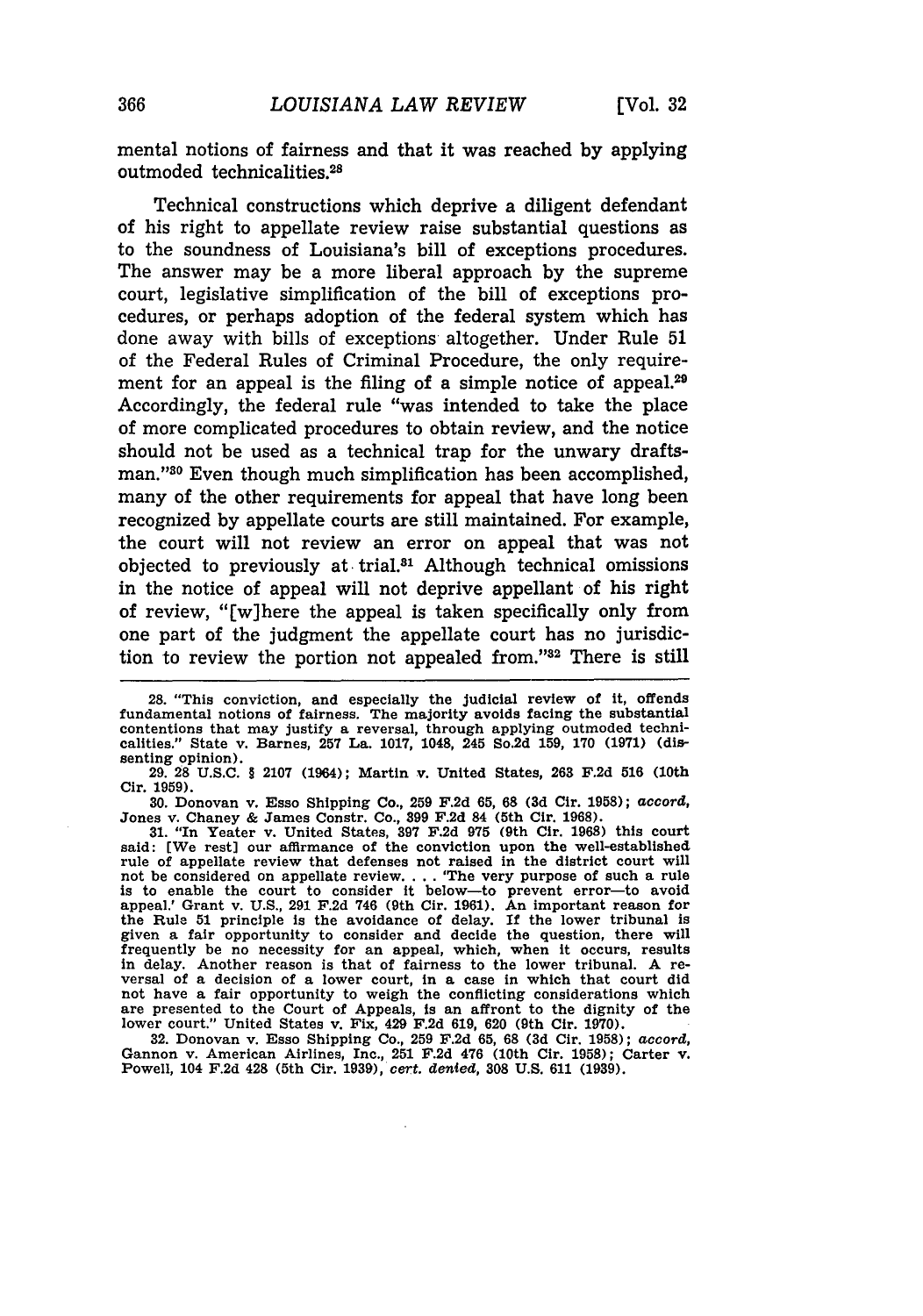mental notions of fairness and that it was reached **by** applying outmoded technicalities. <sup>28</sup>

Technical constructions which deprive a diligent defendant of his right to appellate review raise substantial questions as to the soundness of Louisiana's bill of exceptions procedures. The answer may be a more liberal approach by the supreme court, legislative simplification of the bill of exceptions procedures, or perhaps adoption of the federal system which has done away with bills of exceptions altogether. Under Rule 51 of the Federal Rules of Criminal Procedure, the only requirement for an appeal is the filing of a simple notice of appeal.<sup>29</sup> Accordingly, the federal rule "was intended to take the place of more complicated procedures to obtain review, and the notice should not be used as a technical trap for the unwary draftsman."<sup>30</sup> Even though much simplification has been accomplished, many of the other requirements for appeal that have long been recognized by appellate courts are still maintained. For example, the court will not review an error on appeal that was not objected to previously at trial.81 Although technical omissions in the notice of appeal will not deprive appellant of his right of review, "[w]here the appeal is taken specifically only from one part of the judgment the appellate court has no jurisdiction to review the portion not appealed from."<sup>32</sup> There is still

29. **28** U.S.C. § 2107 (1964); Martin v. United States, **263 F.2d 516** (10th Cir. **1959).**

**30.** Donovan v. Esso Shipping Co., **259** F.2d **65, 68 (3d** Cir. 1958); accord, Jones v. Chaney & James Constr. Co., **399** F.2d 84 (5th Cir. 1968). **31.** "In Yeater v. United States, **397** F.2d **975** (9th Cir. **1968)** this court

said: [We rest] our affirmance of the conviction upon the well-established rule of appellate review that defenses not raised in the district court will not be considered on appellate review.... The very purpose of such a rule<br>is to enable the court to consider it below—to prevent error—to avoid<br>appeal.' Grant v. U.S., 291 F.2d 746 (9th Cir. 1961). An important reason for the Rule 51 principle Is the avoidance of delay. **If** the lower tribunal is given a fair opportunity to consider and decide the question, there will frequently be no necessity for an appeal, which, when it occurs, results in delay. Another reason is that of fairness to the lower tribunal. A rein delay. Another reason is that of fairness to the lower tribunal. **A** re- versal of a decision of a lower court, In a case in which that court did not have a fair opportunity to weigh the conflicting considerations which are presented to the Court of Appeals, Is an affront to the dignity of the lower court." United States v. Fix, 429 F.2d 619, 620 (9th Cir. **1970).**

32. Donovan v. Esso Shipping Co., **259** F.2d **65, 68 (3d** Cir. **1958);** *accord,* Gannon v. American Airlines, Inc., **251** F.2d 476 (10th Cir. 1958); Carter v. Powell, 104 F.2d 428 (5th Cir. **1939),** *cert. denied,* **308** U.S. **611 (1939).**

<sup>28. &</sup>quot;This conviction, and especially the judicial review of it, offends fundamental notions of fairness. The majority avoids facing the substantial contentions that may justify a reversal, through applying outmoded technicalities." State v. Barnes, **257** La. **1017,** 1048, 245 So.2d **159, 170 (1971)** (dissenting opinion).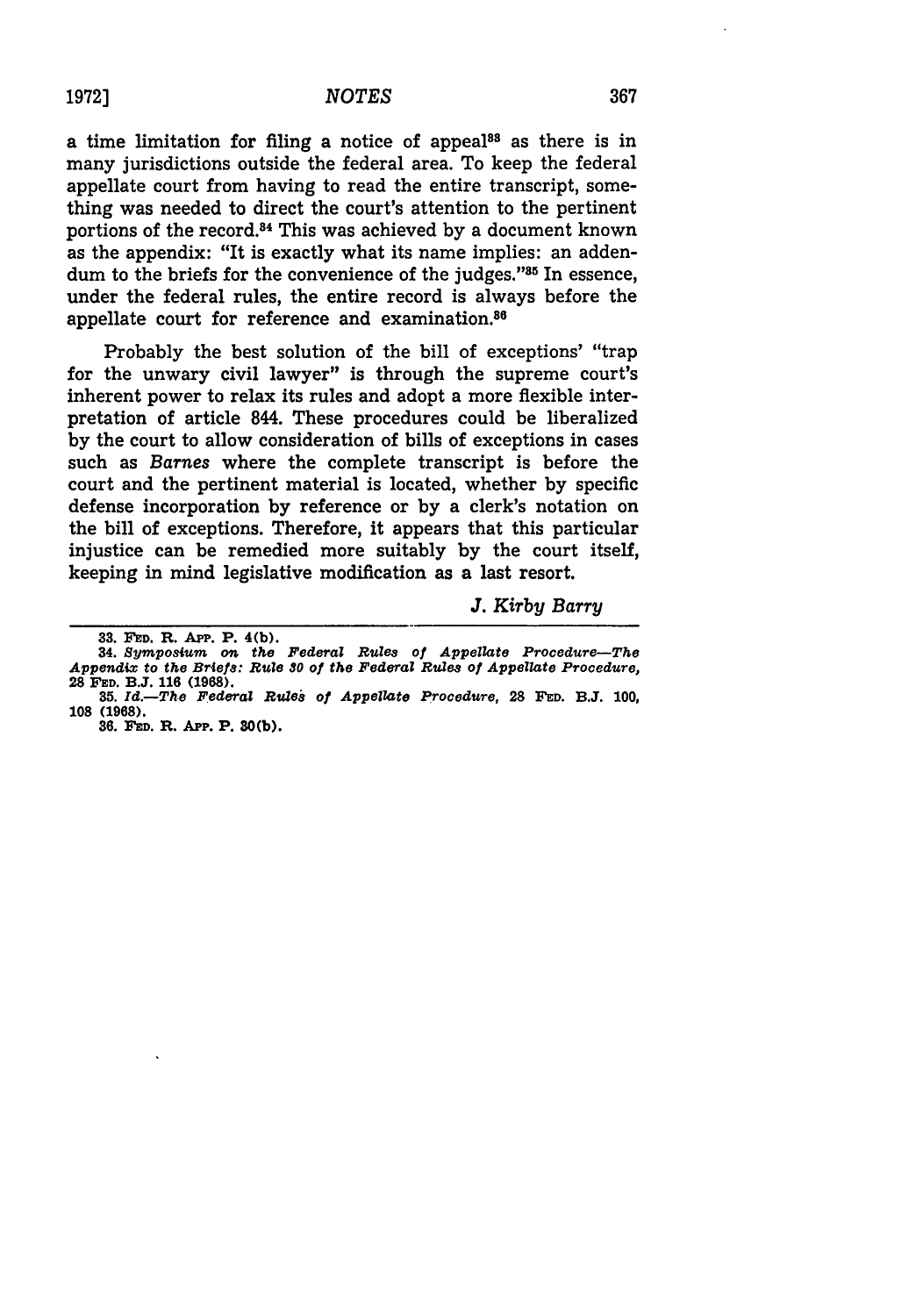a time limitation for filing a notice of appeal<sup>88</sup> as there is in many jurisdictions outside the federal area. To keep the federal appellate court from having to read the entire transcript, something was needed to direct the court's attention to the pertinent portions of the record.<sup>84</sup> This was achieved by a document known as the appendix: "It is exactly what its name implies: an addendum to the briefs for the convenience of the judges."<sup>35</sup> In essence, under the federal rules, the entire record is always before the appellate court for reference and examination.86

Probably the best solution of the bill of exceptions' "trap for the unwary civil lawyer" is through the supreme court's inherent power to relax its rules and adopt a more flexible interpretation of article 844. These procedures could be liberalized by the court to allow consideration of bills of exceptions in cases such as *Barnes* where the complete transcript is before the court and the pertinent material is located, whether by specific defense incorporation by reference or by a clerk's notation on the bill of exceptions. Therefore, it appears that this particular injustice can be remedied more suitably by the court itself, keeping in mind legislative modification as a last resort.

*J. Kirby Barry*

**<sup>33.</sup> FED.** R. **App.** P. 4(b).

**<sup>34.</sup>** *Symposium on the Federal Rules of Appellate Procedure-The Appendix to the Briefs: Rule* **S0** *of the Federal Rules of Appellate Procedure,* **28 FED. B.J. 116 (1968).**

*<sup>35.</sup> Id.-The Federal RuWe8 of Appellate Procedure,* **28 FED. B.J. 100, 108 (1968).**

**<sup>36.</sup> FED. R. App. P. 30(b).**